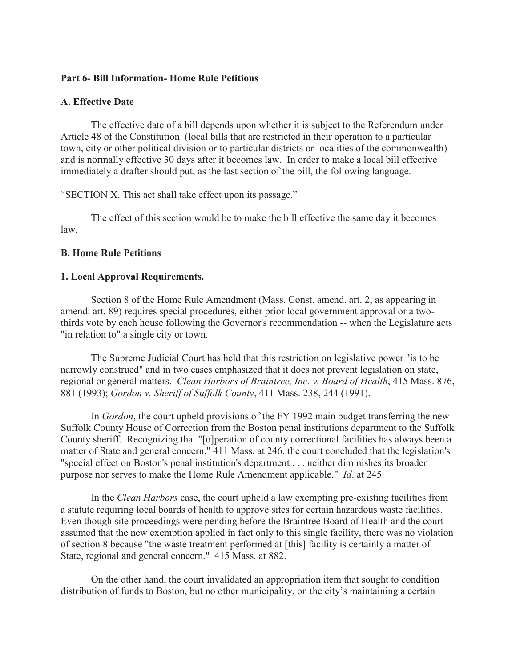#### **Part 6- Bill Information- Home Rule Petitions**

#### **A. Effective Date**

 The effective date of a bill depends upon whether it is subject to the Referendum under Article 48 of the Constitution (local bills that are restricted in their operation to a particular town, city or other political division or to particular districts or localities of the commonwealth) and is normally effective 30 days after it becomes law. In order to make a local bill effective immediately a drafter should put, as the last section of the bill, the following language.

"SECTION X. This act shall take effect upon its passage."

 The effect of this section would be to make the bill effective the same day it becomes law.

#### **B. Home Rule Petitions**

#### **1. Local Approval Requirements.**

 Section 8 of the Home Rule Amendment (Mass. Const. amend. art. 2, as appearing in amend. art. 89) requires special procedures, either prior local government approval or a twothirds vote by each house following the Governor's recommendation -- when the Legislature acts "in relation to" a single city or town.

 The Supreme Judicial Court has held that this restriction on legislative power "is to be narrowly construed" and in two cases emphasized that it does not prevent legislation on state, regional or general matters. *Clean Harbors of Braintree, Inc. v. Board of Health*, 415 Mass. 876, 881 (1993); *Gordon v. Sheriff of Suffolk County*, 411 Mass. 238, 244 (1991).

 In *Gordon*, the court upheld provisions of the FY 1992 main budget transferring the new Suffolk County House of Correction from the Boston penal institutions department to the Suffolk County sheriff. Recognizing that "[o]peration of county correctional facilities has always been a matter of State and general concern," 411 Mass. at 246, the court concluded that the legislation's "special effect on Boston's penal institution's department . . . neither diminishes its broader purpose nor serves to make the Home Rule Amendment applicable." *Id*. at 245.

 In the *Clean Harbors* case, the court upheld a law exempting pre-existing facilities from a statute requiring local boards of health to approve sites for certain hazardous waste facilities. Even though site proceedings were pending before the Braintree Board of Health and the court assumed that the new exemption applied in fact only to this single facility, there was no violation of section 8 because "the waste treatment performed at [this] facility is certainly a matter of State, regional and general concern." 415 Mass. at 882.

 On the other hand, the court invalidated an appropriation item that sought to condition distribution of funds to Boston, but no other municipality, on the city's maintaining a certain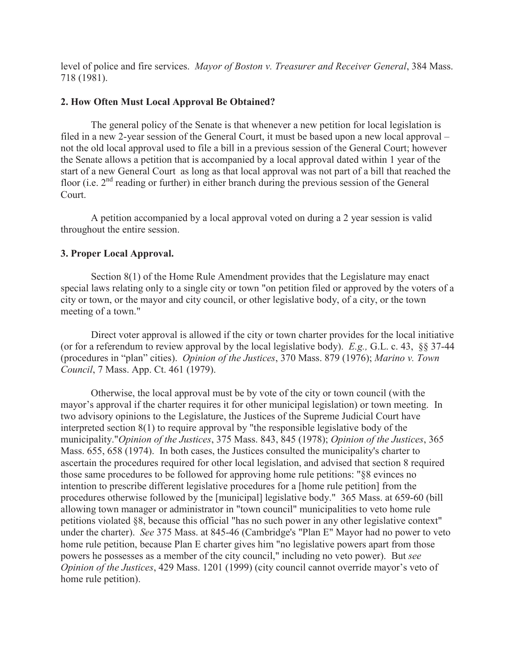level of police and fire services. *Mayor of Boston v. Treasurer and Receiver General*, 384 Mass. 718 (1981).

### **2. How Often Must Local Approval Be Obtained?**

 The general policy of the Senate is that whenever a new petition for local legislation is filed in a new 2-year session of the General Court, it must be based upon a new local approval – not the old local approval used to file a bill in a previous session of the General Court; however the Senate allows a petition that is accompanied by a local approval dated within 1 year of the start of a new General Court as long as that local approval was not part of a bill that reached the floor (i.e.  $2<sup>nd</sup>$  reading or further) in either branch during the previous session of the General Court.

 A petition accompanied by a local approval voted on during a 2 year session is valid throughout the entire session.

### **3. Proper Local Approval.**

 Section 8(1) of the Home Rule Amendment provides that the Legislature may enact special laws relating only to a single city or town "on petition filed or approved by the voters of a city or town, or the mayor and city council, or other legislative body, of a city, or the town meeting of a town."

 Direct voter approval is allowed if the city or town charter provides for the local initiative (or for a referendum to review approval by the local legislative body). *E.g.,* G.L. c. 43, §§ 37-44 (procedures in "plan" cities). *Opinion of the Justices*, 370 Mass. 879 (1976); *Marino v. Town Council*, 7 Mass. App. Ct. 461 (1979).

 Otherwise, the local approval must be by vote of the city or town council (with the mayor's approval if the charter requires it for other municipal legislation) or town meeting. In two advisory opinions to the Legislature, the Justices of the Supreme Judicial Court have interpreted section 8(1) to require approval by "the responsible legislative body of the municipality."*Opinion of the Justices*, 375 Mass. 843, 845 (1978); *Opinion of the Justices*, 365 Mass. 655, 658 (1974). In both cases, the Justices consulted the municipality's charter to ascertain the procedures required for other local legislation, and advised that section 8 required those same procedures to be followed for approving home rule petitions: "§8 evinces no intention to prescribe different legislative procedures for a [home rule petition] from the procedures otherwise followed by the [municipal] legislative body." 365 Mass. at 659-60 (bill allowing town manager or administrator in "town council" municipalities to veto home rule petitions violated §8, because this official "has no such power in any other legislative context" under the charter). *See* 375 Mass. at 845-46 (Cambridge's "Plan E" Mayor had no power to veto home rule petition, because Plan E charter gives him "no legislative powers apart from those powers he possesses as a member of the city council," including no veto power). But *see Opinion of the Justices*, 429 Mass. 1201 (1999) (city council cannot override mayor's veto of home rule petition).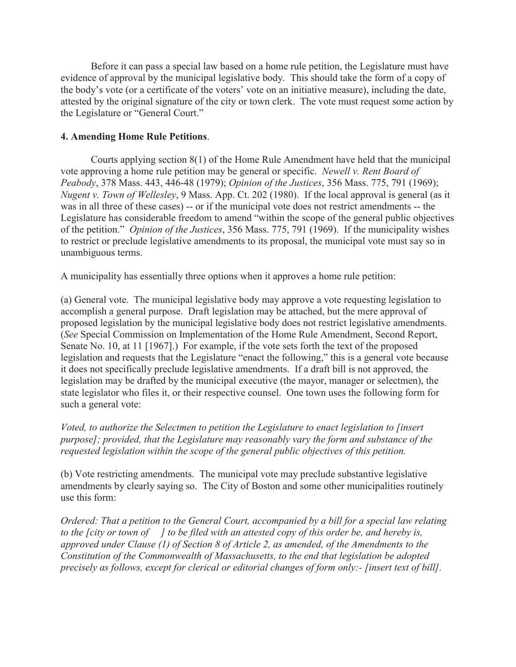Before it can pass a special law based on a home rule petition, the Legislature must have evidence of approval by the municipal legislative body. This should take the form of a copy of the body's vote (or a certificate of the voters' vote on an initiative measure), including the date, attested by the original signature of the city or town clerk. The vote must request some action by the Legislature or "General Court."

## **4. Amending Home Rule Petitions**.

 Courts applying section 8(1) of the Home Rule Amendment have held that the municipal vote approving a home rule petition may be general or specific. *Newell v. Rent Board of Peabody*, 378 Mass. 443, 446-48 (1979); *Opinion of the Justices*, 356 Mass. 775, 791 (1969); *Nugent v. Town of Wellesley*, 9 Mass. App. Ct. 202 (1980). If the local approval is general (as it was in all three of these cases) -- or if the municipal vote does not restrict amendments -- the Legislature has considerable freedom to amend "within the scope of the general public objectives of the petition." *Opinion of the Justices*, 356 Mass. 775, 791 (1969). If the municipality wishes to restrict or preclude legislative amendments to its proposal, the municipal vote must say so in unambiguous terms.

A municipality has essentially three options when it approves a home rule petition:

(a) General vote. The municipal legislative body may approve a vote requesting legislation to accomplish a general purpose. Draft legislation may be attached, but the mere approval of proposed legislation by the municipal legislative body does not restrict legislative amendments. (*See* Special Commission on Implementation of the Home Rule Amendment, Second Report, Senate No. 10, at 11 [1967].) For example, if the vote sets forth the text of the proposed legislation and requests that the Legislature "enact the following," this is a general vote because it does not specifically preclude legislative amendments. If a draft bill is not approved, the legislation may be drafted by the municipal executive (the mayor, manager or selectmen), the state legislator who files it, or their respective counsel. One town uses the following form for such a general vote:

*Voted, to authorize the Selectmen to petition the Legislature to enact legislation to [insert purpose]; provided, that the Legislature may reasonably vary the form and substance of the requested legislation within the scope of the general public objectives of this petition.* 

(b) Vote restricting amendments. The municipal vote may preclude substantive legislative amendments by clearly saying so. The City of Boston and some other municipalities routinely use this form:

*Ordered: That a petition to the General Court, accompanied by a bill for a special law relating to the [city or town of ] to be filed with an attested copy of this order be, and hereby is, approved under Clause (1) of Section 8 of Article 2, as amended, of the Amendments to the Constitution of the Commonwealth of Massachusetts, to the end that legislation be adopted precisely as follows, except for clerical or editorial changes of form only:- [insert text of bill].*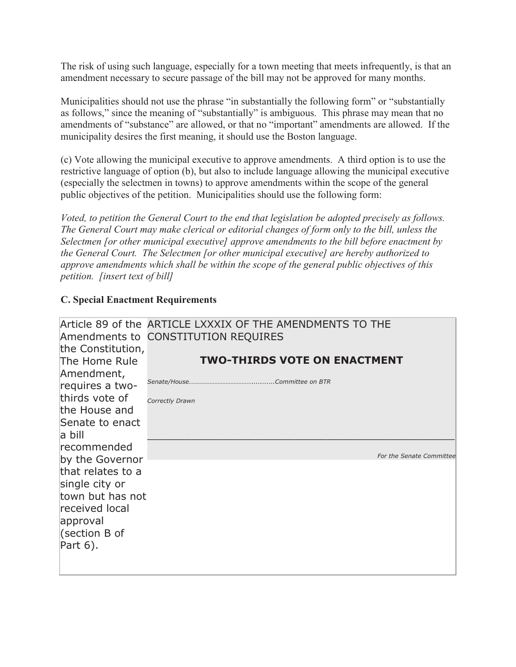The risk of using such language, especially for a town meeting that meets infrequently, is that an amendment necessary to secure passage of the bill may not be approved for many months.

Municipalities should not use the phrase "in substantially the following form" or "substantially as follows," since the meaning of "substantially" is ambiguous. This phrase may mean that no amendments of "substance" are allowed, or that no "important" amendments are allowed. If the municipality desires the first meaning, it should use the Boston language.

(c) Vote allowing the municipal executive to approve amendments. A third option is to use the restrictive language of option (b), but also to include language allowing the municipal executive (especially the selectmen in towns) to approve amendments within the scope of the general public objectives of the petition. Municipalities should use the following form:

*Voted, to petition the General Court to the end that legislation be adopted precisely as follows. The General Court may make clerical or editorial changes of form only to the bill, unless the Selectmen [or other municipal executive] approve amendments to the bill before enactment by the General Court. The Selectmen [or other municipal executive] are hereby authorized to approve amendments which shall be within the scope of the general public objectives of this petition. [insert text of bill]*

### **C. Special Enactment Requirements**

| the Constitution, | Article 89 of the ARTICLE LXXXIX OF THE AMENDMENTS TO THE<br>Amendments to CONSTITUTION REQUIRES |
|-------------------|--------------------------------------------------------------------------------------------------|
| The Home Rule     | <b>TWO-THIRDS VOTE ON ENACTMENT</b>                                                              |
| Amendment,        |                                                                                                  |
| requires a two-   |                                                                                                  |
| thirds vote of    | Correctly Drawn                                                                                  |
| the House and     |                                                                                                  |
| Senate to enact   |                                                                                                  |
| a bill            |                                                                                                  |
| recommended       |                                                                                                  |
| by the Governor   | For the Senate Committee                                                                         |
| that relates to a |                                                                                                  |
| single city or    |                                                                                                  |
| town but has not  |                                                                                                  |
| received local    |                                                                                                  |
| approval          |                                                                                                  |
| (section B of     |                                                                                                  |
| Part 6).          |                                                                                                  |
|                   |                                                                                                  |
|                   |                                                                                                  |